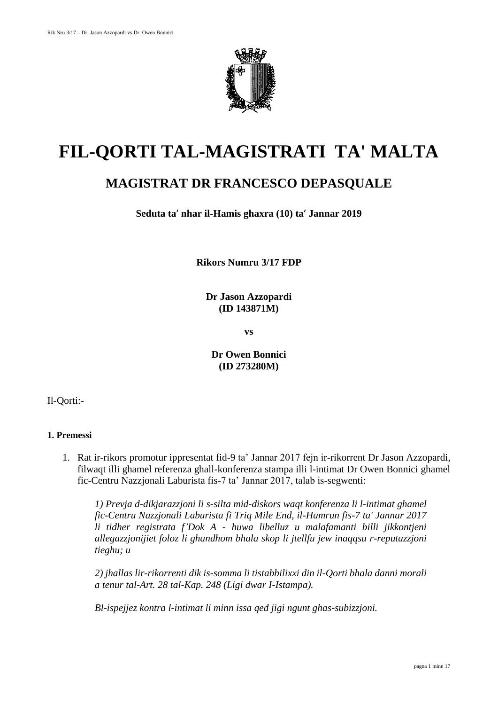

# **FIL-QORTI TAL-MAGISTRATI TA' MALTA**

# **MAGISTRAT DR FRANCESCO DEPASQUALE**

**Seduta ta**' **nhar il-Hamis ghaxra (10) ta**' **Jannar 2019**

**Rikors Numru 3/17 FDP**

**Dr Jason Azzopardi (ID 143871M)**

**vs**

**Dr Owen Bonnici (ID 273280M)**

Il-Qorti:-

## **1. Premessi**

1. Rat ir-rikors promotur ippresentat fid-9 ta' Jannar 2017 fejn ir-rikorrent Dr Jason Azzopardi, filwaqt illi ghamel referenza ghall-konferenza stampa illi l-intimat Dr Owen Bonnici ghamel fic-Centru Nazzjonali Laburista fis-7 ta' Jannar 2017, talab is-segwenti:

*1) Prevja d-dikjarazzjoni li s-silta mid-diskors waqt konferenza li l-intimat ghamel fic-Centru Nazzjonali Laburista fi Triq Mile End, il-Hamrun fis-7 ta' Jannar 2017 li tidher registrata f'Dok A - huwa libelluz u malafamanti billi jikkontjeni allegazzjonijiet foloz li ghandhom bhala skop li jtellfu jew inaqqsu r-reputazzjoni tieghu; u* 

*2) jhallas lir-rikorrenti dik is-somma li tistabbilixxi din il-Qorti bhala danni morali a tenur tal-Art. 28 tal-Kap. 248 (Ligi dwar I-Istampa).* 

*Bl-ispejjez kontra l-intimat li minn issa qed jigi ngunt ghas-subizzjoni.*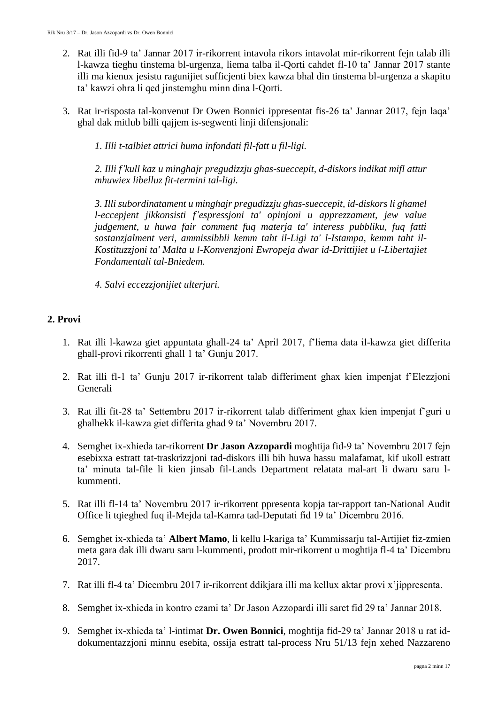- 2. Rat illi fid-9 ta' Jannar 2017 ir-rikorrent intavola rikors intavolat mir-rikorrent fejn talab illi l-kawza tieghu tinstema bl-urgenza, liema talba il-Qorti cahdet fl-10 ta' Jannar 2017 stante illi ma kienux jesistu ragunijiet sufficjenti biex kawza bhal din tinstema bl-urgenza a skapitu ta' kawzi ohra li qed jinstemghu minn dina l-Qorti.
- 3. Rat ir-risposta tal-konvenut Dr Owen Bonnici ippresentat fis-26 ta' Jannar 2017, fejn laqa' ghal dak mitlub billi qajjem is-segwenti linji difensjonali:

*1. Illi t-talbiet attrici huma infondati fil-fatt u fil-ligi.*

*2. Illi f'kull kaz u minghajr pregudizzju ghas-sueccepit, d-diskors indikat mifl attur mhuwiex libelluz fit-termini tal-ligi.* 

*3. Illi subordinatament u minghajr pregudizzju ghas-sueccepit, id-diskors li ghamel l-eccepjent jikkonsisti f'espressjoni ta' opinjoni u apprezzament, jew value judgement, u huwa fair comment fuq materja ta' interess pubbliku, fuq fatti sostanzjalment veri, ammissibbli kemm taht il-Ligi ta' l-Istampa, kemm taht il-Kostituzzjoni ta' Malta u l-Konvenzjoni Ewropeja dwar id-Drittijiet u l-Libertajiet Fondamentali tal-Bniedem.* 

*4. Salvi eccezzjonijiet ulterjuri.*

## **2. Provi**

- 1. Rat illi l-kawza giet appuntata ghall-24 ta' April 2017, f'liema data il-kawza giet differita ghall-provi rikorrenti ghall 1 ta' Gunju 2017.
- 2. Rat illi fl-1 ta' Gunju 2017 ir-rikorrent talab differiment ghax kien impenjat f'Elezzjoni Generali
- 3. Rat illi fit-28 ta' Settembru 2017 ir-rikorrent talab differiment ghax kien impenjat f'guri u ghalhekk il-kawza giet differita ghad 9 ta' Novembru 2017.
- 4. Semghet ix-xhieda tar-rikorrent **Dr Jason Azzopardi** moghtija fid-9 ta' Novembru 2017 fejn esebixxa estratt tat-traskrizzjoni tad-diskors illi bih huwa hassu malafamat, kif ukoll estratt ta' minuta tal-file li kien jinsab fil-Lands Department relatata mal-art li dwaru saru lkummenti.
- 5. Rat illi fl-14 ta' Novembru 2017 ir-rikorrent ppresenta kopja tar-rapport tan-National Audit Office li tqieghed fuq il-Mejda tal-Kamra tad-Deputati fid 19 ta' Dicembru 2016.
- 6. Semghet ix-xhieda ta' **Albert Mamo**, li kellu l-kariga ta' Kummissarju tal-Artijiet fiz-zmien meta gara dak illi dwaru saru l-kummenti, prodott mir-rikorrent u moghtija fl-4 ta' Dicembru 2017.
- 7. Rat illi fl-4 ta' Dicembru 2017 ir-rikorrent ddikjara illi ma kellux aktar provi x'jippresenta.
- 8. Semghet ix-xhieda in kontro ezami ta' Dr Jason Azzopardi illi saret fid 29 ta' Jannar 2018.
- 9. Semghet ix-xhieda ta' l-intimat **Dr. Owen Bonnici**, moghtija fid-29 ta' Jannar 2018 u rat iddokumentazzjoni minnu esebita, ossija estratt tal-process Nru 51/13 fejn xehed Nazzareno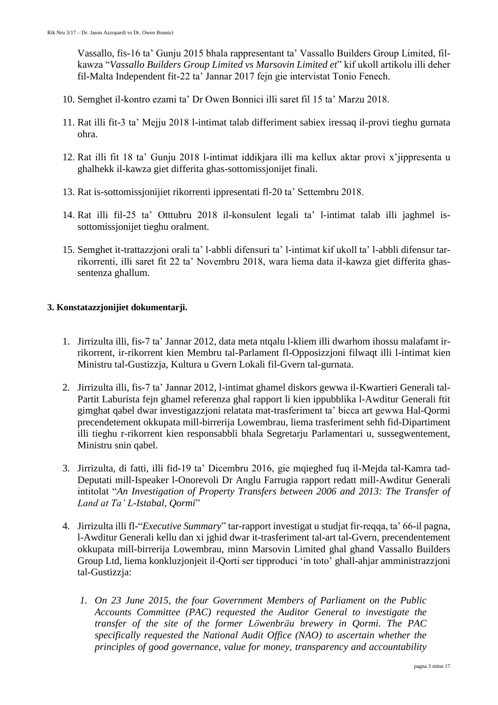Vassallo, fis-16 ta' Gunju 2015 bhala rappresentant ta' Vassallo Builders Group Limited, filkawza "*Vassallo Builders Group Limited vs Marsovin Limited et*" kif ukoll artikolu illi deher fil-Malta Independent fit-22 ta' Jannar 2017 fejn gie intervistat Tonio Fenech.

- 10. Semghet il-kontro ezami ta' Dr Owen Bonnici illi saret fil 15 ta' Marzu 2018.
- 11. Rat illi fit-3 ta' Mejju 2018 l-intimat talab differiment sabiex iressaq il-provi tieghu gurnata ohra.
- 12. Rat illi fit 18 ta' Gunju 2018 l-intimat iddikjara illi ma kellux aktar provi x'jippresenta u ghalhekk il-kawza giet differita ghas-sottomissjonijet finali.
- 13. Rat is-sottomissjonijiet rikorrenti ippresentati fl-20 ta' Settembru 2018.
- 14. Rat illi fil-25 ta' Otttubru 2018 il-konsulent legali ta' l-intimat talab illi jaghmel issottomissjonijet tieghu oralment.
- 15. Semghet it-trattazzjoni orali ta' l-abbli difensuri ta' l-intimat kif ukoll ta' l-abbli difensur tarrikorrenti, illi saret fit 22 ta' Novembru 2018, wara liema data il-kawza giet differita ghassentenza ghallum.

#### **3. Konstatazzjonijiet dokumentarji.**

- 1. Jirrizulta illi, fis-7 ta' Jannar 2012, data meta ntqalu l-kliem illi dwarhom ihossu malafamt irrikorrent, ir-rikorrent kien Membru tal-Parlament fl-Opposizzjoni filwaqt illi l-intimat kien Ministru tal-Gustizzja, Kultura u Gvern Lokali fil-Gvern tal-gurnata.
- 2. Jirrizulta illi, fis-7 ta' Jannar 2012, l-intimat ghamel diskors gewwa il-Kwartieri Generali tal-Partit Laburista fejn ghamel referenza ghal rapport li kien ippubblika l-Awditur Generali ftit gimghat qabel dwar investigazzjoni relatata mat-trasferiment ta' bicca art gewwa Hal-Qormi precendetement okkupata mill-birrerija Lowembrau, liema trasferiment sehh fid-Dipartiment illi tieghu r-rikorrent kien responsabbli bhala Segretarju Parlamentari u, sussegwentement, Ministru snin qabel.
- 3. Jirrizulta, di fatti, illi fid-19 ta' Dicembru 2016, gie mqieghed fuq il-Mejda tal-Kamra tad-Deputati mill-Ispeaker l-Onorevoli Dr Anglu Farrugia rapport redatt mill-Awditur Generali intitolat "*An Investigation of Property Transfers between 2006 and 2013: The Transfer of Land at Ta' L-Istabal, Qormi*"
- 4. Jirrizulta illi fl-"*Executive Summary*" tar-rapport investigat u studjat fir-reqqa, ta' 66-il pagna, l-Awditur Generali kellu dan xi jghid dwar it-trasferiment tal-art tal-Gvern, precendentement okkupata mill-birrerija Lowembrau, minn Marsovin Limited ghal ghand Vassallo Builders Group Ltd, liema konkluzjonjeit il-Qorti ser tipproduci 'in toto' ghall-ahjar amministrazzjoni tal-Gustizzja:
	- *1. On 23 June 2015, the four Government Members of Parliament on the Public Accounts Committee (PAC) requested the Auditor General to investigate the transfer of the site of the former Löwenbräu brewery in Qormi. The PAC specifically requested the National Audit Office (NAO) to ascertain whether the principles of good governance, value for money, transparency and accountability*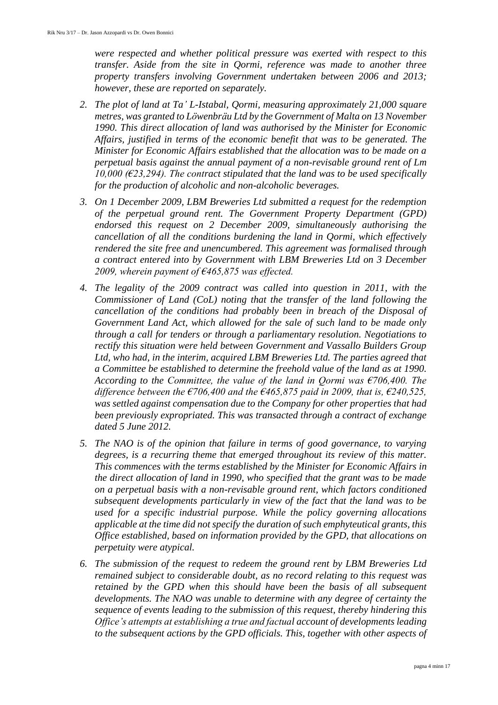*were respected and whether political pressure was exerted with respect to this transfer. Aside from the site in Qormi, reference was made to another three property transfers involving Government undertaken between 2006 and 2013; however, these are reported on separately.* 

- *2. The plot of land at Ta' L-Istabal, Qormi, measuring approximately 21,000 square metres, was granted to Löwenbräu Ltd by the Government of Malta on 13 November 1990. This direct allocation of land was authorised by the Minister for Economic Affairs, justified in terms of the economic benefit that was to be generated. The Minister for Economic Affairs established that the allocation was to be made on a perpetual basis against the annual payment of a non-revisable ground rent of Lm 10,000 (€23,294). The contract stipulated that the land was to be used specifically for the production of alcoholic and non-alcoholic beverages.*
- *3. On 1 December 2009, LBM Breweries Ltd submitted a request for the redemption of the perpetual ground rent. The Government Property Department (GPD) endorsed this request on 2 December 2009, simultaneously authorising the cancellation of all the conditions burdening the land in Qormi, which effectively rendered the site free and unencumbered. This agreement was formalised through a contract entered into by Government with LBM Breweries Ltd on 3 December*  2009, wherein payment of €465,875 was effected.
- *4. The legality of the 2009 contract was called into question in 2011, with the Commissioner of Land (CoL) noting that the transfer of the land following the cancellation of the conditions had probably been in breach of the Disposal of Government Land Act, which allowed for the sale of such land to be made only through a call for tenders or through a parliamentary resolution. Negotiations to rectify this situation were held between Government and Vassallo Builders Group*  Ltd, who had, in the interim, acquired LBM Breweries Ltd. The parties agreed that *a Committee be established to determine the freehold value of the land as at 1990. According to the Committee, the value of the land in Qormi was €706,400. The difference between the*  $\epsilon$ *706,400 and the*  $\epsilon$ *465,875 paid in 2009, that is,*  $\epsilon$ *240,525, was settled against compensation due to the Company for other properties that had been previously expropriated. This was transacted through a contract of exchange dated 5 June 2012.*
- *5. The NAO is of the opinion that failure in terms of good governance, to varying degrees, is a recurring theme that emerged throughout its review of this matter. This commences with the terms established by the Minister for Economic Affairs in the direct allocation of land in 1990, who specified that the grant was to be made on a perpetual basis with a non-revisable ground rent, which factors conditioned subsequent developments particularly in view of the fact that the land was to be used for a specific industrial purpose. While the policy governing allocations applicable at the time did not specify the duration of such emphyteutical grants, this Office established, based on information provided by the GPD, that allocations on perpetuity were atypical.*
- *6. The submission of the request to redeem the ground rent by LBM Breweries Ltd remained subject to considerable doubt, as no record relating to this request was retained by the GPD when this should have been the basis of all subsequent developments. The NAO was unable to determine with any degree of certainty the sequence of events leading to the submission of this request, thereby hindering this Office's attempts at establishing a true and factual account of developments leading to the subsequent actions by the GPD officials. This, together with other aspects of*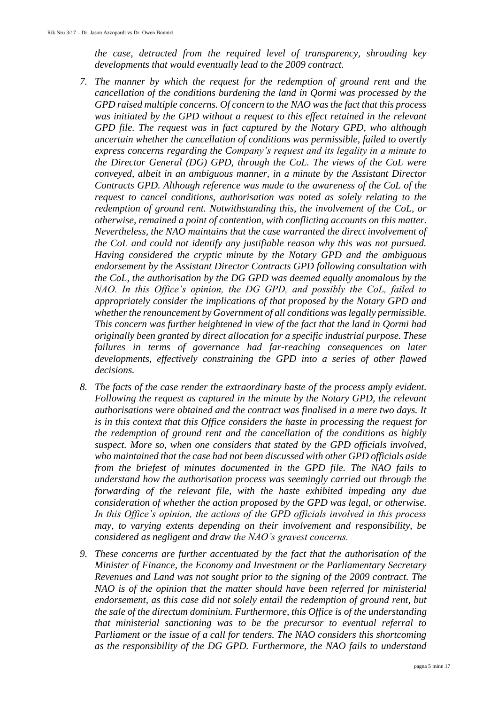*the case, detracted from the required level of transparency, shrouding key developments that would eventually lead to the 2009 contract.* 

- *7. The manner by which the request for the redemption of ground rent and the cancellation of the conditions burdening the land in Qormi was processed by the GPD raised multiple concerns. Of concern to the NAO was the fact that this process*  was initiated by the GPD without a request to this effect retained in the relevant *GPD file. The request was in fact captured by the Notary GPD, who although uncertain whether the cancellation of conditions was permissible, failed to overtly express concerns regarding the Company's request and its legality in a minute to the Director General (DG) GPD, through the CoL. The views of the CoL were conveyed, albeit in an ambiguous manner, in a minute by the Assistant Director Contracts GPD. Although reference was made to the awareness of the CoL of the request to cancel conditions, authorisation was noted as solely relating to the redemption of ground rent. Notwithstanding this, the involvement of the CoL, or otherwise, remained a point of contention, with conflicting accounts on this matter. Nevertheless, the NAO maintains that the case warranted the direct involvement of the CoL and could not identify any justifiable reason why this was not pursued. Having considered the cryptic minute by the Notary GPD and the ambiguous endorsement by the Assistant Director Contracts GPD following consultation with the CoL, the authorisation by the DG GPD was deemed equally anomalous by the NAO. In this Office's opinion, the DG GPD, and possibly the CoL, failed to appropriately consider the implications of that proposed by the Notary GPD and whether the renouncement by Government of all conditions was legally permissible. This concern was further heightened in view of the fact that the land in Qormi had originally been granted by direct allocation for a specific industrial purpose. These failures in terms of governance had far-reaching consequences on later developments, effectively constraining the GPD into a series of other flawed decisions.*
- *8. The facts of the case render the extraordinary haste of the process amply evident. Following the request as captured in the minute by the Notary GPD, the relevant authorisations were obtained and the contract was finalised in a mere two days. It is in this context that this Office considers the haste in processing the request for the redemption of ground rent and the cancellation of the conditions as highly suspect. More so, when one considers that stated by the GPD officials involved, who maintained that the case had not been discussed with other GPD officials aside from the briefest of minutes documented in the GPD file. The NAO fails to understand how the authorisation process was seemingly carried out through the forwarding of the relevant file, with the haste exhibited impeding any due consideration of whether the action proposed by the GPD was legal, or otherwise. In this Office's opinion, the actions of the GPD officials involved in this process may, to varying extents depending on their involvement and responsibility, be considered as negligent and draw the NAO's gravest concerns.*
- *9. These concerns are further accentuated by the fact that the authorisation of the Minister of Finance, the Economy and Investment or the Parliamentary Secretary Revenues and Land was not sought prior to the signing of the 2009 contract. The NAO is of the opinion that the matter should have been referred for ministerial endorsement, as this case did not solely entail the redemption of ground rent, but the sale of the directum dominium. Furthermore, this Office is of the understanding that ministerial sanctioning was to be the precursor to eventual referral to Parliament or the issue of a call for tenders. The NAO considers this shortcoming as the responsibility of the DG GPD. Furthermore, the NAO fails to understand*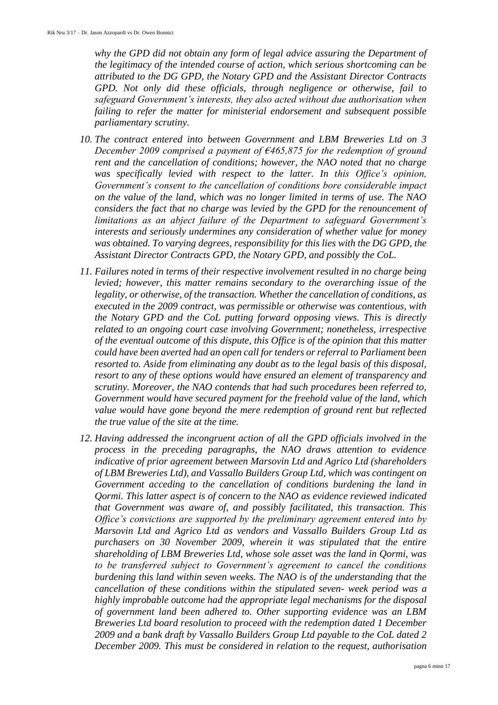*why the GPD did not obtain any form of legal advice assuring the Department of the legitimacy of the intended course of action, which serious shortcoming can be attributed to the DG GPD, the Notary GPD and the Assistant Director Contracts GPD. Not only did these officials, through negligence or otherwise, fail to safeguard Government's interests, they also acted without due authorisation when failing to refer the matter for ministerial endorsement and subsequent possible parliamentary scrutiny.* 

- *10. The contract entered into between Government and LBM Breweries Ltd on 3 December 2009 comprised a payment of €465,875 for the redemption of ground rent and the cancellation of conditions; however, the NAO noted that no charge was specifically levied with respect to the latter. In this Office's opinion, Government's consent to the cancellation of conditions bore considerable impact on the value of the land, which was no longer limited in terms of use. The NAO considers the fact that no charge was levied by the GPD for the renouncement of limitations as an abject failure of the Department to safeguard Government's interests and seriously undermines any consideration of whether value for money*  was obtained. To varying degrees, responsibility for this lies with the DG GPD, the *Assistant Director Contracts GPD, the Notary GPD, and possibly the CoL.*
- *11. Failures noted in terms of their respective involvement resulted in no charge being levied; however, this matter remains secondary to the overarching issue of the legality, or otherwise, of the transaction. Whether the cancellation of conditions, as executed in the 2009 contract, was permissible or otherwise was contentious, with the Notary GPD and the CoL putting forward opposing views. This is directly related to an ongoing court case involving Government; nonetheless, irrespective of the eventual outcome of this dispute, this Office is of the opinion that this matter could have been averted had an open call for tenders or referral to Parliament been resorted to. Aside from eliminating any doubt as to the legal basis of this disposal, resort to any of these options would have ensured an element of transparency and scrutiny. Moreover, the NAO contends that had such procedures been referred to, Government would have secured payment for the freehold value of the land, which value would have gone beyond the mere redemption of ground rent but reflected the true value of the site at the time.*
- *12. Having addressed the incongruent action of all the GPD officials involved in the process in the preceding paragraphs, the NAO draws attention to evidence indicative of prior agreement between Marsovin Ltd and Agrico Ltd (shareholders of LBM Breweries Ltd), and Vassallo Builders Group Ltd, which was contingent on Government acceding to the cancellation of conditions burdening the land in Qormi. This latter aspect is of concern to the NAO as evidence reviewed indicated that Government was aware of, and possibly facilitated, this transaction. This Office's convictions are supported by the preliminary agreement entered into by Marsovin Ltd and Agrico Ltd as vendors and Vassallo Builders Group Ltd as purchasers on 30 November 2009, wherein it was stipulated that the entire shareholding of LBM Breweries Ltd, whose sole asset was the land in Qormi, was to be transferred subject to Government's agreement to cancel the conditions burdening this land within seven weeks. The NAO is of the understanding that the cancellation of these conditions within the stipulated seven- week period was a highly improbable outcome had the appropriate legal mechanisms for the disposal of government land been adhered to. Other supporting evidence was an LBM Breweries Ltd board resolution to proceed with the redemption dated 1 December 2009 and a bank draft by Vassallo Builders Group Ltd payable to the CoL dated 2 December 2009. This must be considered in relation to the request, authorisation*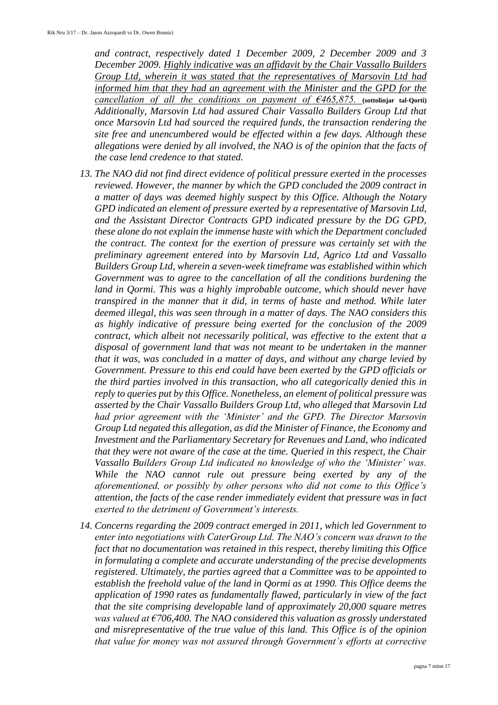*and contract, respectively dated 1 December 2009, 2 December 2009 and 3 December 2009. Highly indicative was an affidavit by the Chair Vassallo Builders Group Ltd, wherein it was stated that the representatives of Marsovin Ltd had informed him that they had an agreement with the Minister and the GPD for the cancellation of all the conditions on payment of €465,875.* **(sottolinjar tal-Qorti)** *Additionally, Marsovin Ltd had assured Chair Vassallo Builders Group Ltd that once Marsovin Ltd had sourced the required funds, the transaction rendering the site free and unencumbered would be effected within a few days. Although these allegations were denied by all involved, the NAO is of the opinion that the facts of the case lend credence to that stated.* 

- *13. The NAO did not find direct evidence of political pressure exerted in the processes reviewed. However, the manner by which the GPD concluded the 2009 contract in a matter of days was deemed highly suspect by this Office. Although the Notary GPD indicated an element of pressure exerted by a representative of Marsovin Ltd, and the Assistant Director Contracts GPD indicated pressure by the DG GPD, these alone do not explain the immense haste with which the Department concluded the contract. The context for the exertion of pressure was certainly set with the preliminary agreement entered into by Marsovin Ltd, Agrico Ltd and Vassallo Builders Group Ltd, wherein a seven-week timeframe was established within which Government was to agree to the cancellation of all the conditions burdening the land in Qormi. This was a highly improbable outcome, which should never have transpired in the manner that it did, in terms of haste and method. While later deemed illegal, this was seen through in a matter of days. The NAO considers this as highly indicative of pressure being exerted for the conclusion of the 2009 contract, which albeit not necessarily political, was effective to the extent that a disposal of government land that was not meant to be undertaken in the manner that it was, was concluded in a matter of days, and without any charge levied by Government. Pressure to this end could have been exerted by the GPD officials or the third parties involved in this transaction, who all categorically denied this in reply to queries put by this Office. Nonetheless, an element of political pressure was asserted by the Chair Vassallo Builders Group Ltd, who alleged that Marsovin Ltd had prior agreement with the 'Minister' and the GPD. The Director Marsovin Group Ltd negated this allegation, as did the Minister of Finance, the Economy and Investment and the Parliamentary Secretary for Revenues and Land, who indicated that they were not aware of the case at the time. Queried in this respect, the Chair Vassallo Builders Group Ltd indicated no knowledge of who the 'Minister' was. While the NAO cannot rule out pressure being exerted by any of the aforementioned, or possibly by other persons who did not come to this Office's attention, the facts of the case render immediately evident that pressure was in fact exerted to the detriment of Government's interests.*
- *14. Concerns regarding the 2009 contract emerged in 2011, which led Government to enter into negotiations with CaterGroup Ltd. The NAO's concern was drawn to the fact that no documentation was retained in this respect, thereby limiting this Office in formulating a complete and accurate understanding of the precise developments registered. Ultimately, the parties agreed that a Committee was to be appointed to establish the freehold value of the land in Qormi as at 1990. This Office deems the application of 1990 rates as fundamentally flawed, particularly in view of the fact that the site comprising developable land of approximately 20,000 square metres was valued at €706,400. The NAO considered this valuation as grossly understated and misrepresentative of the true value of this land. This Office is of the opinion that value for money was not assured through Government's efforts at corrective*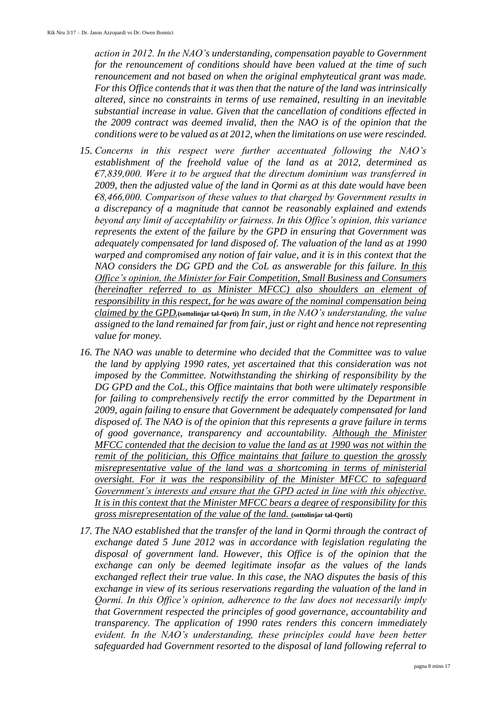*action in 2012. In the NAO's understanding, compensation payable to Government for the renouncement of conditions should have been valued at the time of such renouncement and not based on when the original emphyteutical grant was made. For this Office contends that it was then that the nature of the land was intrinsically altered, since no constraints in terms of use remained, resulting in an inevitable substantial increase in value. Given that the cancellation of conditions effected in the 2009 contract was deemed invalid, then the NAO is of the opinion that the conditions were to be valued as at 2012, when the limitations on use were rescinded.* 

- *15. Concerns in this respect were further accentuated following the NAO's establishment of the freehold value of the land as at 2012, determined as €7,839,000. Were it to be argued that the directum dominium was transferred in 2009, then the adjusted value of the land in Qormi as at this date would have been €8,466,000. Comparison of these values to that charged by Government results in a discrepancy of a magnitude that cannot be reasonably explained and extends beyond any limit of acceptability or fairness. In this Office's opinion, this variance represents the extent of the failure by the GPD in ensuring that Government was adequately compensated for land disposed of. The valuation of the land as at 1990 warped and compromised any notion of fair value, and it is in this context that the NAO considers the DG GPD and the CoL as answerable for this failure. In this Office's opinion, the Minister for Fair Competition, Small Business and Consumers (hereinafter referred to as Minister MFCC) also shoulders an element of responsibility in this respect, for he was aware of the nominal compensation being claimed by the GPD.***(sottolinjar tal-Qorti)** *In sum, in the NAO's understanding, the value assigned to the land remained far from fair, just or right and hence not representing value for money.*
- *16. The NAO was unable to determine who decided that the Committee was to value the land by applying 1990 rates, yet ascertained that this consideration was not imposed by the Committee. Notwithstanding the shirking of responsibility by the DG GPD and the CoL, this Office maintains that both were ultimately responsible for failing to comprehensively rectify the error committed by the Department in 2009, again failing to ensure that Government be adequately compensated for land disposed of. The NAO is of the opinion that this represents a grave failure in terms of good governance, transparency and accountability. Although the Minister MFCC contended that the decision to value the land as at 1990 was not within the remit of the politician, this Office maintains that failure to question the grossly misrepresentative value of the land was a shortcoming in terms of ministerial oversight. For it was the responsibility of the Minister MFCC to safeguard Government's interests and ensure that the GPD acted in line with this objective. It is in this context that the Minister MFCC bears a degree of responsibility for this gross misrepresentation of the value of the land.* **(sottolinjar tal-Qorti)**
- *17. The NAO established that the transfer of the land in Qormi through the contract of exchange dated 5 June 2012 was in accordance with legislation regulating the disposal of government land. However, this Office is of the opinion that the exchange can only be deemed legitimate insofar as the values of the lands exchanged reflect their true value. In this case, the NAO disputes the basis of this exchange in view of its serious reservations regarding the valuation of the land in Qormi. In this Office's opinion, adherence to the law does not necessarily imply that Government respected the principles of good governance, accountability and transparency. The application of 1990 rates renders this concern immediately evident. In the NAO's understanding, these principles could have been better safeguarded had Government resorted to the disposal of land following referral to*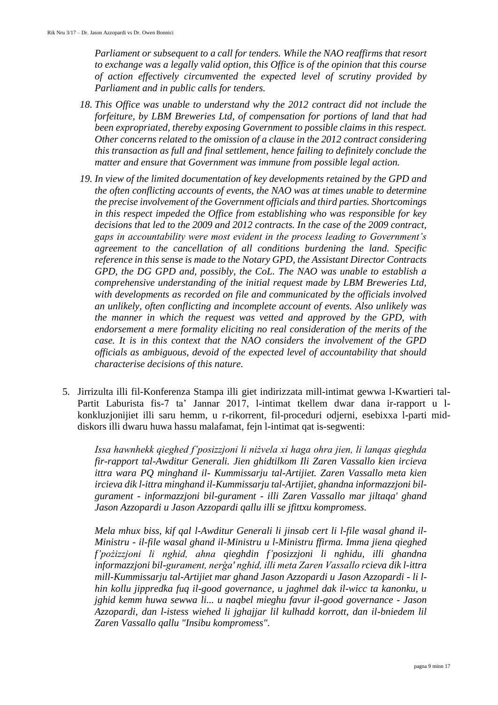*Parliament or subsequent to a call for tenders. While the NAO reaffirms that resort to exchange was a legally valid option, this Office is of the opinion that this course of action effectively circumvented the expected level of scrutiny provided by Parliament and in public calls for tenders.* 

- *18. This Office was unable to understand why the 2012 contract did not include the forfeiture, by LBM Breweries Ltd, of compensation for portions of land that had been expropriated, thereby exposing Government to possible claims in this respect. Other concerns related to the omission of a clause in the 2012 contract considering this transaction as full and final settlement, hence failing to definitely conclude the matter and ensure that Government was immune from possible legal action.*
- *19. In view of the limited documentation of key developments retained by the GPD and the often conflicting accounts of events, the NAO was at times unable to determine the precise involvement of the Government officials and third parties. Shortcomings in this respect impeded the Office from establishing who was responsible for key decisions that led to the 2009 and 2012 contracts. In the case of the 2009 contract, gaps in accountability were most evident in the process leading to Government's agreement to the cancellation of all conditions burdening the land. Specific reference in this sense is made to the Notary GPD, the Assistant Director Contracts GPD, the DG GPD and, possibly, the CoL. The NAO was unable to establish a comprehensive understanding of the initial request made by LBM Breweries Ltd, with developments as recorded on file and communicated by the officials involved an unlikely, often conflicting and incomplete account of events. Also unlikely was the manner in which the request was vetted and approved by the GPD, with endorsement a mere formality eliciting no real consideration of the merits of the case. It is in this context that the NAO considers the involvement of the GPD officials as ambiguous, devoid of the expected level of accountability that should characterise decisions of this nature.*
- 5. Jirrizulta illi fil-Konferenza Stampa illi giet indirizzata mill-intimat gewwa l-Kwartieri tal-Partit Laburista fis-7 ta' Jannar 2017, l-intimat tkellem dwar dana ir-rapport u lkonkluzjonijiet illi saru hemm, u r-rikorrent, fil-proceduri odjerni, esebixxa l-parti middiskors illi dwaru huwa hassu malafamat, fejn l-intimat qat is-segwenti:

*Issa hawnhekk qieghed f'posizzjoni li niżvela xi haga ohra jien, li lanqas qieghda fir-rapport tal-Awditur Generali. Jien ghidtilkom Ili Zaren Vassallo kien ircieva ittra wara PQ minghand il- Kummissarju tal-Artijiet. Zaren Vassallo meta kien ircieva dik l-ittra minghand il-Kummissarju tal-Artijiet, ghandna informazzjoni bilgurament - informazzjoni bil-gurament - illi Zaren Vassallo mar jiltaqa' ghand Jason Azzopardi u Jason Azzopardi qallu illi se jfittxu kompromess.* 

*Mela mhux biss, kif qal l-Awditur Generali li jinsab cert li l-file wasal ghand il-Ministru - il-file wasal ghand il-Ministru u l-Ministru ffirma. Imma jiena qieghed f'pożizzjoni li nghid, ahna qieghdin f'posizzjoni li nghidu, illi ghandna informazzjoni bil-gurament, nerģa' nghid, illi meta Zaren Vassallo rcieva dik l-ittra mill-Kummissarju tal-Artijiet mar ghand Jason Azzopardi u Jason Azzopardi - li lhin kollu jippredka fuq il-good governance, u jaghmel dak il-wicc ta kanonku, u jghid kemm huwa sewwa li... u naqbel mieghu favur il-good governance - Jason Azzopardi, dan l-istess wiehed li jghajjar lil kulhadd korrott, dan il-bniedem lil Zaren Vassallo qallu "Insibu kompromess".*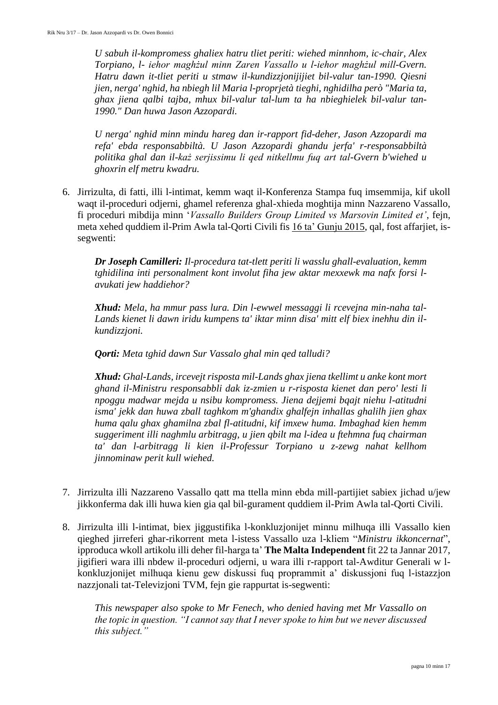*U sabuh il-kompromess ghaliex hatru tliet periti: wiehed minnhom, ic-chair, Alex Torpiano, l- iehor maghżul minn Zaren Vassallo u l-iehor maghżul mill-Gvern. Hatru dawn it-tliet periti u stmaw il-kundizzjonijijiet bil-valur tan-1990. Qiesni jien, nerga' nghid, ha nbiegh lil Maria l-proprjetà tieghi, nghidilha però "Maria ta, ghax jiena qalbi tajba, mhux bil-valur tal-lum ta ha nbieghielek bil-valur tan-1990." Dan huwa Jason Azzopardi.* 

*U nerga' nghid minn mindu hareg dan ir-rapport fid-deher, Jason Azzopardi ma refa' ebda responsabbiltà. U Jason Azzopardi ghandu jerfa' r-responsabbiltà politika ghal dan il-każ serjissimu li qed nitkellmu fuq art tal-Gvern b'wiehed u ghoxrin elf metru kwadru.*

6. Jirrizulta, di fatti, illi l-intimat, kemm waqt il-Konferenza Stampa fuq imsemmija, kif ukoll waqt il-proceduri odjerni, ghamel referenza ghal-xhieda moghtija minn Nazzareno Vassallo, fi proceduri mibdija minn '*Vassallo Builders Group Limited vs Marsovin Limited et'*, fejn, meta xehed quddiem il-Prim Awla tal-Qorti Civili fis 16 ta' Gunju 2015, qal, fost affarjiet, issegwenti:

*Dr Joseph Camilleri: Il-procedura tat-tlett periti li wasslu ghall-evaluation, kemm tghidilina inti personalment kont involut fiha jew aktar mexxewk ma nafx forsi lavukati jew haddiehor?* 

*Xhud: Mela, ha mmur pass lura. Din l-ewwel messaggi li rcevejna min-naha tal-Lands kienet li dawn iridu kumpens ta' iktar minn disa' mitt elf biex inehhu din ilkundizzjoni.* 

*Qorti: Meta tghid dawn Sur Vassalo ghal min qed talludi?* 

*Xhud: Ghal-Lands, ircevejt risposta mil-Lands ghax jiena tkellimt u anke kont mort ghand il-Ministru responsabbli dak iz-zmien u r-risposta kienet dan pero' lesti li npoggu madwar mejda u nsibu kompromess. Jiena dejjemi bqajt niehu l-atitudni isma' jekk dan huwa zball taghkom m'ghandix ghalfejn inhallas ghalilh jien ghax huma qalu ghax ghamilna zbal fl-atitudni, kif imxew huma. Imbaghad kien hemm suggeriment illi naghmlu arbitragg, u jien qbilt ma l-idea u ftehmna fuq chairman ta' dan l-arbitragg li kien il-Professur Torpiano u z-zewg nahat kellhom jinnominaw perit kull wiehed.*

- 7. Jirrizulta illi Nazzareno Vassallo qatt ma ttella minn ebda mill-partijiet sabiex jichad u/jew jikkonferma dak illi huwa kien gia qal bil-gurament quddiem il-Prim Awla tal-Qorti Civili.
- 8. Jirrizulta illi l-intimat, biex jiggustifika l-konkluzjonijet minnu milhuqa illi Vassallo kien qieghed jirreferi ghar-rikorrent meta l-istess Vassallo uza l-kliem "*Ministru ikkoncernat*", ipproduca wkoll artikolu illi deher fil-harga ta' **The Malta Independent** fit 22 ta Jannar 2017, jigifieri wara illi nbdew il-proceduri odjerni, u wara illi r-rapport tal-Awditur Generali w lkonkluzjonijet milhuqa kienu gew diskussi fuq proprammit a' diskussjoni fuq l-istazzjon nazzjonali tat-Televizjoni TVM, fejn gie rappurtat is-segwenti:

*This newspaper also spoke to Mr Fenech, who denied having met Mr Vassallo on the topic in question. "I cannot say that I never spoke to him but we never discussed this subject."*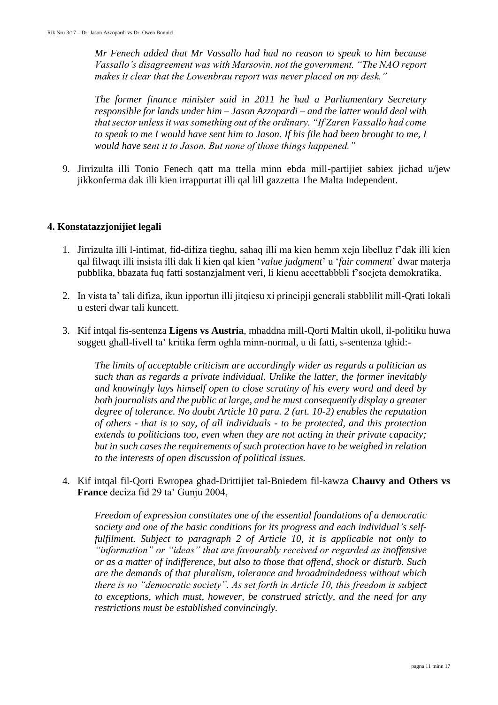*Mr Fenech added that Mr Vassallo had had no reason to speak to him because Vassallo's disagreement was with Marsovin, not the government. "The NAO report makes it clear that the Lowenbrau report was never placed on my desk."*

*The former finance minister said in 2011 he had a Parliamentary Secretary responsible for lands under him – Jason Azzopardi – and the latter would deal with that sector unless it was something out of the ordinary. "If Zaren Vassallo had come*  to speak to me I would have sent him to Jason. If his file had been brought to me, I *would have sent it to Jason. But none of those things happened."*

9. Jirrizulta illi Tonio Fenech qatt ma ttella minn ebda mill-partijiet sabiex jichad u/jew jikkonferma dak illi kien irrappurtat illi qal lill gazzetta The Malta Independent.

#### **4. Konstatazzjonijiet legali**

- 1. Jirrizulta illi l-intimat, fid-difiza tieghu, sahaq illi ma kien hemm xejn libelluz f'dak illi kien qal filwaqt illi insista illi dak li kien qal kien '*value judgment*' u '*fair comment*' dwar materja pubblika, bbazata fuq fatti sostanzjalment veri, li kienu accettabbbli f'socjeta demokratika.
- 2. In vista ta' tali difiza, ikun ipportun illi jitqiesu xi principji generali stabblilit mill-Qrati lokali u esteri dwar tali kuncett.
- 3. Kif intqal fis-sentenza **Ligens vs Austria**, mhaddna mill-Qorti Maltin ukoll, il-politiku huwa soggett ghall-livell ta' kritika ferm oghla minn-normal, u di fatti, s-sentenza tghid:-

*The limits of acceptable criticism are accordingly wider as regards a politician as such than as regards a private individual. Unlike the latter, the former inevitably and knowingly lays himself open to close scrutiny of his every word and deed by both journalists and the public at large, and he must consequently display a greater degree of tolerance. No doubt Article 10 para. 2 (art. 10-2) enables the reputation of others - that is to say, of all individuals - to be protected, and this protection extends to politicians too, even when they are not acting in their private capacity; but in such cases the requirements of such protection have to be weighed in relation to the interests of open discussion of political issues.*

4. Kif intqal fil-Qorti Ewropea ghad-Drittijiet tal-Bniedem fil-kawza **Chauvy and Others vs France** deciza fid 29 ta' Gunju 2004,

*Freedom of expression constitutes one of the essential foundations of a democratic society and one of the basic conditions for its progress and each individual's selffulfilment. Subject to paragraph 2 of Article 10, it is applicable not only to "information" or "ideas" that are favourably received or regarded as inoffensive or as a matter of indifference, but also to those that offend, shock or disturb. Such are the demands of that pluralism, tolerance and broadmindedness without which there is no "democratic society". As set forth in Article 10, this freedom is subject to exceptions, which must, however, be construed strictly, and the need for any restrictions must be established convincingly.*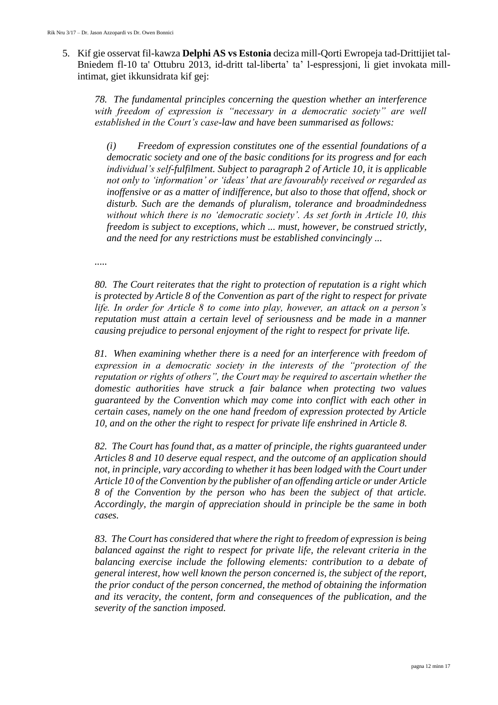5. Kif gie osservat fil-kawza **Delphi AS vs Estonia** deciza mill-Qorti Ewropeja tad-Drittijiet tal-Bniedem fl-10 ta' Ottubru 2013, id-dritt tal-liberta' ta' l-espressjoni, li giet invokata millintimat, giet ikkunsidrata kif gej:

*78. The fundamental principles concerning the question whether an interference with freedom of expression is "necessary in a democratic society" are well established in the Court's case-law and have been summarised as follows:*

*(i) Freedom of expression constitutes one of the essential foundations of a democratic society and one of the basic conditions for its progress and for each individual's self-fulfilment. Subject to paragraph 2 of Article 10, it is applicable not only to 'information' or 'ideas' that are favourably received or regarded as inoffensive or as a matter of indifference, but also to those that offend, shock or disturb. Such are the demands of pluralism, tolerance and broadmindedness without which there is no 'democratic society'. As set forth in Article 10, this freedom is subject to exceptions, which ... must, however, be construed strictly, and the need for any restrictions must be established convincingly ...*

*.....*

*80. The Court reiterates that the right to protection of reputation is a right which is protected by Article 8 of the Convention as part of the right to respect for private life. In order for Article 8 to come into play, however, an attack on a person's reputation must attain a certain level of seriousness and be made in a manner causing prejudice to personal enjoyment of the right to respect for private life.*

*81. When examining whether there is a need for an interference with freedom of expression in a democratic society in the interests of the "protection of the reputation or rights of others", the Court may be required to ascertain whether the domestic authorities have struck a fair balance when protecting two values guaranteed by the Convention which may come into conflict with each other in certain cases, namely on the one hand freedom of expression protected by Article 10, and on the other the right to respect for private life enshrined in Article 8.*

*82. The Court has found that, as a matter of principle, the rights guaranteed under Articles 8 and 10 deserve equal respect, and the outcome of an application should not, in principle, vary according to whether it has been lodged with the Court under Article 10 of the Convention by the publisher of an offending article or under Article 8 of the Convention by the person who has been the subject of that article. Accordingly, the margin of appreciation should in principle be the same in both cases.*

*83. The Court has considered that where the right to freedom of expression is being balanced against the right to respect for private life, the relevant criteria in the balancing exercise include the following elements: contribution to a debate of general interest, how well known the person concerned is, the subject of the report, the prior conduct of the person concerned, the method of obtaining the information and its veracity, the content, form and consequences of the publication, and the severity of the sanction imposed.*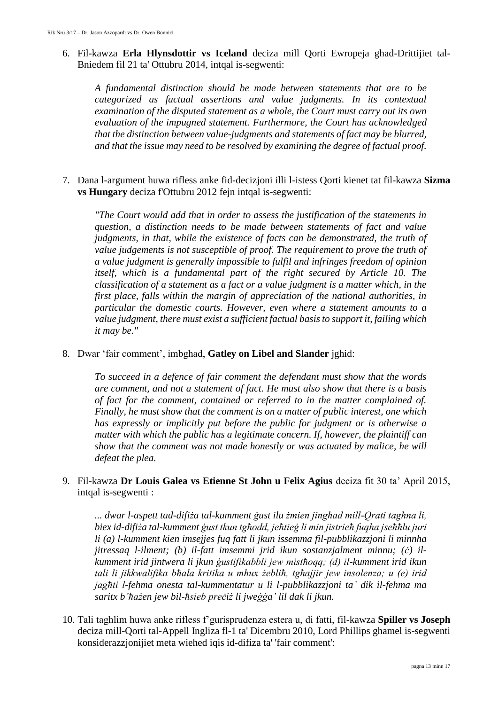6. Fil-kawza **Erla Hlynsdottir vs Iceland** deciza mill Qorti Ewropeja ghad-Drittijiet tal-Bniedem fil 21 ta' Ottubru 2014, intqal is-segwenti:

*A fundamental distinction should be made between statements that are to be categorized as factual assertions and value judgments. In its contextual examination of the disputed statement as a whole, the Court must carry out its own evaluation of the impugned statement. Furthermore, the Court has acknowledged that the distinction between value-judgments and statements of fact may be blurred, and that the issue may need to be resolved by examining the degree of factual proof.*

7. Dana l-argument huwa rifless anke fid-decizjoni illi l-istess Qorti kienet tat fil-kawza **Sizma vs Hungary** deciza f'Ottubru 2012 fejn intqal is-segwenti:

*"The Court would add that in order to assess the justification of the statements in question, a distinction needs to be made between statements of fact and value judgments, in that, while the existence of facts can be demonstrated, the truth of value judgements is not susceptible of proof. The requirement to prove the truth of a value judgment is generally impossible to fulfil and infringes freedom of opinion itself, which is a fundamental part of the right secured by Article 10. The classification of a statement as a fact or a value judgment is a matter which, in the first place, falls within the margin of appreciation of the national authorities, in particular the domestic courts. However, even where a statement amounts to a value judgment, there must exist a sufficient factual basis to support it, failing which it may be."*

8. Dwar 'fair comment', imbghad, **Gatley on Libel and Slander** jghid:

*To succeed in a defence of fair comment the defendant must show that the words are comment, and not a statement of fact. He must also show that there is a basis of fact for the comment, contained or referred to in the matter complained of. Finally, he must show that the comment is on a matter of public interest, one which has expressly or implicitly put before the public for judgment or is otherwise a matter with which the public has a legitimate concern. If, however, the plaintiff can show that the comment was not made honestly or was actuated by malice, he will defeat the plea.*

9. Fil-kawza **Dr Louis Galea vs Etienne St John u Felix Agius** deciza fit 30 ta' April 2015, intqal is-segwenti :

*... dwar l-aspett tad-difiża tal-kumment ġust ilu żmien jingħad mill-Qrati tagħna li, biex id-difiża tal-kumment ġust tkun tgħodd, jeħtieġ li min jistrieħ fuqha jseħħlu juri li (a) l-kumment kien imsejjes fuq fatt li jkun issemma fil-pubblikazzjoni li minnha jitressaq l-ilment; (b) il-fatt imsemmi jrid ikun sostanzjalment minnu; (ċ) ilkumment irid jintwera li jkun ġustifikabbli jew mistħoqq; (d) il-kumment irid ikun tali li jikkwalifika bħala kritika u mhux żebliħ, tgħajjir jew insolenza; u (e) irid jagħti l-fehma onesta tal-kummentatur u li l-pubblikazzjoni ta' dik il-fehma ma saritx b'ħażen jew bil-ħsieb preċiż li jweġġa' lil dak li jkun.*

10. Tali taghlim huwa anke rifless f'gurisprudenza estera u, di fatti, fil-kawza **Spiller vs Joseph** deciza mill-Qorti tal-Appell Ingliza fl-1 ta' Dicembru 2010, Lord Phillips ghamel is-segwenti konsiderazzjonijiet meta wiehed iqis id-difiza ta' 'fair comment':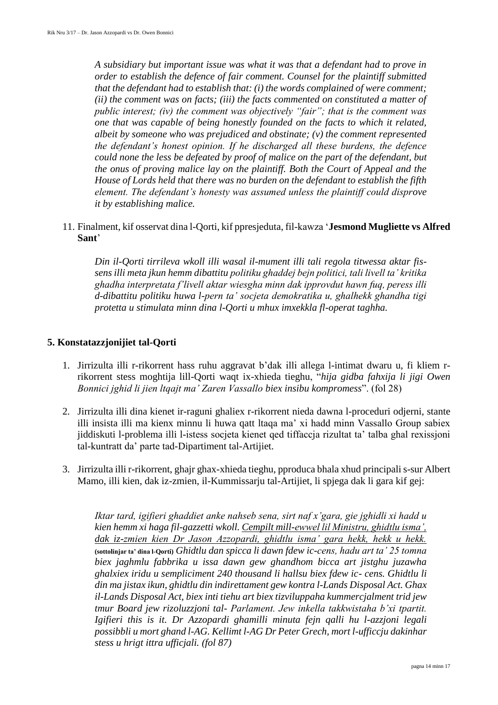*A subsidiary but important issue was what it was that a defendant had to prove in order to establish the defence of fair comment. Counsel for the plaintiff submitted that the defendant had to establish that: (i) the words complained of were comment; (ii) the comment was on facts; (iii) the facts commented on constituted a matter of public interest; (iv) the comment was objectively "fair"; that is the comment was one that was capable of being honestly founded on the facts to which it related, albeit by someone who was prejudiced and obstinate; (v) the comment represented the defendant's honest opinion. If he discharged all these burdens, the defence could none the less be defeated by proof of malice on the part of the defendant, but the onus of proving malice lay on the plaintiff. Both the Court of Appeal and the House of Lords held that there was no burden on the defendant to establish the fifth element. The defendant's honesty was assumed unless the plaintiff could disprove it by establishing malice.*

11. Finalment, kif osservat dina l-Qorti, kif ppresjeduta, fil-kawza '**Jesmond Mugliette vs Alfred Sant**'

*Din il-Qorti tirrileva wkoll illi wasal il-mument illi tali regola titwessa aktar fissens illi meta jkun hemm dibattitu politiku ghaddej bejn politici, tali livell ta' kritika ghadha interpretata f'livell aktar wiesgha minn dak ipprovdut hawn fuq, peress illi d-dibattitu politiku huwa l-pern ta' socjeta demokratika u, ghalhekk ghandha tigi protetta u stimulata minn dina l-Qorti u mhux imxekkla fl-operat taghha.*

#### **5. Konstatazzjonijiet tal-Qorti**

- 1. Jirrizulta illi r-rikorrent hass ruhu aggravat b'dak illi allega l-intimat dwaru u, fi kliem rrikorrent stess moghtija lill-Qorti waqt ix-xhieda tieghu, "*hija gidba fahxija li jigi Owen Bonnici jghid li jien ltqajt ma' Zaren Vassallo biex insibu kompromess*". (fol 28)
- 2. Jirrizulta illi dina kienet ir-raguni ghaliex r-rikorrent nieda dawna l-proceduri odjerni, stante illi insista illi ma kienx minnu li huwa qatt ltaqa ma' xi hadd minn Vassallo Group sabiex jiddiskuti l-problema illi l-istess socjeta kienet qed tiffaccja rizultat ta' talba ghal rexissjoni tal-kuntratt da' parte tad-Dipartiment tal-Artijiet.
- 3. Jirrizulta illi r-rikorrent, ghajr ghax-xhieda tieghu, pproduca bhala xhud principali s-sur Albert Mamo, illi kien, dak iz-zmien, il-Kummissarju tal-Artijiet, li spjega dak li gara kif gej:

*Iktar tard, igifieri ghaddiet anke nahseb sena, sirt naf x'gara, gie jghidli xi hadd u kien hemm xi haga fil-gazzetti wkoll. Cempilt mill-ewwel lil Ministru, ghidtlu isma', dak iz-zmien kien Dr Jason Azzopardi, ghidtlu isma' gara hekk, hekk u hekk.* **(sottolinjar ta' dina l-Qorti)** *Ghidtlu dan spicca li dawn fdew ic-cens, hadu art ta' 25 tomna biex jaghmlu fabbrika u issa dawn gew ghandhom bicca art jistghu juzawha ghalxiex iridu u sempliciment 240 thousand li hallsu biex fdew ic- cens. Ghidtlu li din ma jistax ikun, ghidtlu din indirettament gew kontra l-Lands Disposal Act. Ghax il-Lands Disposal Act, biex inti tiehu art biex tizviluppaha kummercjalment trid jew tmur Board jew rizoluzzjoni tal- Parlament. Jew inkella takkwistaha b'xi tpartit. Igifieri this is it. Dr Azzopardi ghamilli minuta fejn qalli hu l-azzjoni legali possibbli u mort ghand l-AG. Kellimt l-AG Dr Peter Grech, mort l-ufficcju dakinhar stess u hrigt ittra ufficjali. (fol 87)*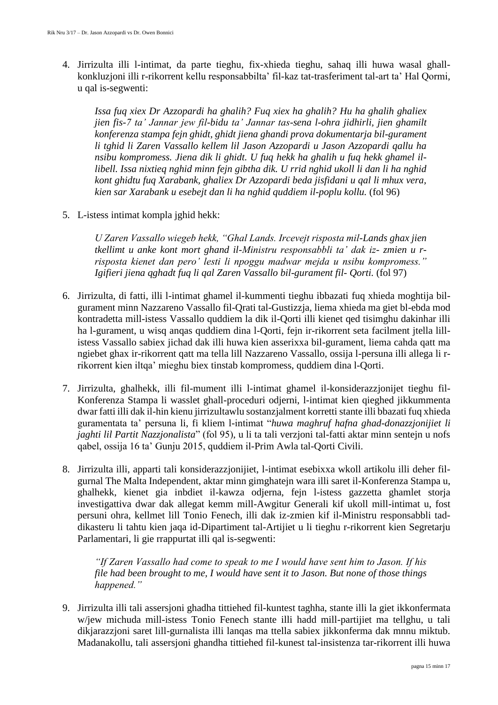4. Jirrizulta illi l-intimat, da parte tieghu, fix-xhieda tieghu, sahaq illi huwa wasal ghallkonkluzjoni illi r-rikorrent kellu responsabbilta' fil-kaz tat-trasferiment tal-art ta' Hal Qormi, u qal is-segwenti:

*Issa fuq xiex Dr Azzopardi ha ghalih? Fuq xiex ha ghalih? Hu ha ghalih ghaliex jien fis-7 ta' Jannar jew fil-bidu ta' Jannar tas-sena l-ohra jidhirli, jien ghamilt konferenza stampa fejn ghidt, ghidt jiena ghandi prova dokumentarja bil-gurament li tghid li Zaren Vassallo kellem lil Jason Azzopardi u Jason Azzopardi qallu ha nsibu kompromess. Jiena dik li ghidt. U fuq hekk ha ghalih u fuq hekk ghamel illibell. Issa nixtieq nghid minn fejn gibtha dik. U rrid nghid ukoll li dan li ha nghid kont ghidtu fuq Xarabank, ghaliex Dr Azzopardi beda jisfidani u qal li mhux vera, kien sar Xarabank u esebejt dan li ha nghid quddiem il-poplu kollu.* (fol 96)

5. L-istess intimat kompla jghid hekk:

*U Zaren Vassallo wiegeb hekk, "Ghal Lands. Ircevejt risposta mil-Lands ghax jien tkellimt u anke kont mort ghand il-Ministru responsabbli ta' dak iz- zmien u rrisposta kienet dan pero' lesti li npoggu madwar mejda u nsibu kompromess." Igifieri jiena qghadt fuq li qal Zaren Vassallo bil-gurament fil- Qorti.* (fol 97)

- 6. Jirrizulta, di fatti, illi l-intimat ghamel il-kummenti tieghu ibbazati fuq xhieda moghtija bilgurament minn Nazzareno Vassallo fil-Qrati tal-Gustizzja, liema xhieda ma giet bl-ebda mod kontradetta mill-istess Vassallo quddiem la dik il-Qorti illi kienet qed tisimghu dakinhar illi ha l-gurament, u wisq anqas quddiem dina l-Qorti, fejn ir-rikorrent seta facilment jtella lillistess Vassallo sabiex jichad dak illi huwa kien asserixxa bil-gurament, liema cahda qatt ma ngiebet ghax ir-rikorrent qatt ma tella lill Nazzareno Vassallo, ossija l-persuna illi allega li rrikorrent kien iltqa' mieghu biex tinstab kompromess, quddiem dina l-Qorti.
- 7. Jirrizulta, ghalhekk, illi fil-mument illi l-intimat ghamel il-konsiderazzjonijet tieghu fil-Konferenza Stampa li wasslet ghall-proceduri odjerni, l-intimat kien qieghed jikkummenta dwar fatti illi dak il-hin kienu jirrizultawlu sostanzjalment korretti stante illi bbazati fuq xhieda guramentata ta' persuna li, fi kliem l-intimat "*huwa maghruf hafna ghad-donazzjonijiet li jaghti lil Partit Nazzjonalista*" (fol 95), u li ta tali verzjoni tal-fatti aktar minn sentejn u nofs qabel, ossija 16 ta' Gunju 2015, quddiem il-Prim Awla tal-Qorti Civili.
- 8. Jirrizulta illi, apparti tali konsiderazzjonijiet, l-intimat esebixxa wkoll artikolu illi deher filgurnal The Malta Independent, aktar minn gimghatejn wara illi saret il-Konferenza Stampa u, ghalhekk, kienet gia inbdiet il-kawza odjerna, fejn l-istess gazzetta ghamlet storja investigattiva dwar dak allegat kemm mill-Awgitur Generali kif ukoll mill-intimat u, fost persuni ohra, kellmet lill Tonio Fenech, illi dak iz-zmien kif il-Ministru responsabbli taddikasteru li tahtu kien jaqa id-Dipartiment tal-Artijiet u li tieghu r-rikorrent kien Segretarju Parlamentari, li gie rrappurtat illi qal is-segwenti:

*"If Zaren Vassallo had come to speak to me I would have sent him to Jason. If his file had been brought to me, I would have sent it to Jason. But none of those things happened."*

9. Jirrizulta illi tali assersjoni ghadha tittiehed fil-kuntest taghha, stante illi la giet ikkonfermata w/jew michuda mill-istess Tonio Fenech stante illi hadd mill-partijiet ma tellghu, u tali dikjarazzjoni saret lill-gurnalista illi lanqas ma ttella sabiex jikkonferma dak mnnu miktub. Madanakollu, tali assersjoni ghandha tittiehed fil-kunest tal-insistenza tar-rikorrent illi huwa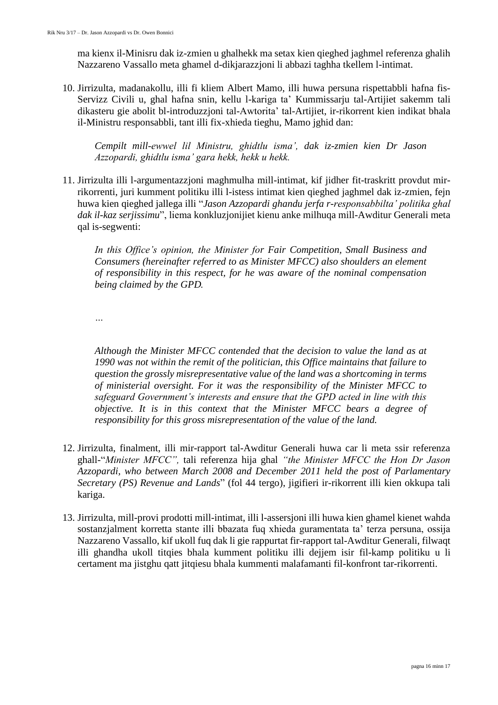ma kienx il-Minisru dak iz-zmien u ghalhekk ma setax kien qieghed jaghmel referenza ghalih Nazzareno Vassallo meta ghamel d-dikjarazzjoni li abbazi taghha tkellem l-intimat.

10. Jirrizulta, madanakollu, illi fi kliem Albert Mamo, illi huwa persuna rispettabbli hafna fis-Servizz Civili u, ghal hafna snin, kellu l-kariga ta' Kummissarju tal-Artijiet sakemm tali dikasteru gie abolit bl-introduzzjoni tal-Awtorita' tal-Artijiet, ir-rikorrent kien indikat bhala il-Ministru responsabbli, tant illi fix-xhieda tieghu, Mamo jghid dan:

*Cempilt mill-ewwel lil Ministru, ghidtlu isma', dak iz-zmien kien Dr Jason Azzopardi, ghidtlu isma' gara hekk, hekk u hekk.*

11. Jirrizulta illi l-argumentazzjoni maghmulha mill-intimat, kif jidher fit-traskritt provdut mirrikorrenti, juri kumment politiku illi l-istess intimat kien qieghed jaghmel dak iz-zmien, fejn huwa kien qieghed jallega illi "*Jason Azzopardi ghandu jerfa r-responsabbilta' politika ghal dak il-kaz serjissimu*", liema konkluzjonijiet kienu anke milhuqa mill-Awditur Generali meta qal is-segwenti:

*In this Office's opinion, the Minister for Fair Competition, Small Business and Consumers (hereinafter referred to as Minister MFCC) also shoulders an element of responsibility in this respect, for he was aware of the nominal compensation being claimed by the GPD.*

*…*

*Although the Minister MFCC contended that the decision to value the land as at 1990 was not within the remit of the politician, this Office maintains that failure to question the grossly misrepresentative value of the land was a shortcoming in terms of ministerial oversight. For it was the responsibility of the Minister MFCC to safeguard Government's interests and ensure that the GPD acted in line with this objective. It is in this context that the Minister MFCC bears a degree of responsibility for this gross misrepresentation of the value of the land.*

- 12. Jirrizulta, finalment, illi mir-rapport tal-Awditur Generali huwa car li meta ssir referenza ghall-"*Minister MFCC",* tali referenza hija ghal *"the Minister MFCC the Hon Dr Jason Azzopardi, who between March 2008 and December 2011 held the post of Parlamentary Secretary (PS) Revenue and Lands*" (fol 44 tergo), jigifieri ir-rikorrent illi kien okkupa tali kariga.
- 13. Jirrizulta, mill-provi prodotti mill-intimat, illi l-assersjoni illi huwa kien ghamel kienet wahda sostanzjalment korretta stante illi bbazata fuq xhieda guramentata ta' terza persuna, ossija Nazzareno Vassallo, kif ukoll fuq dak li gie rappurtat fir-rapport tal-Awditur Generali, filwaqt illi ghandha ukoll titqies bhala kumment politiku illi dejjem isir fil-kamp politiku u li certament ma jistghu qatt jitqiesu bhala kummenti malafamanti fil-konfront tar-rikorrenti.